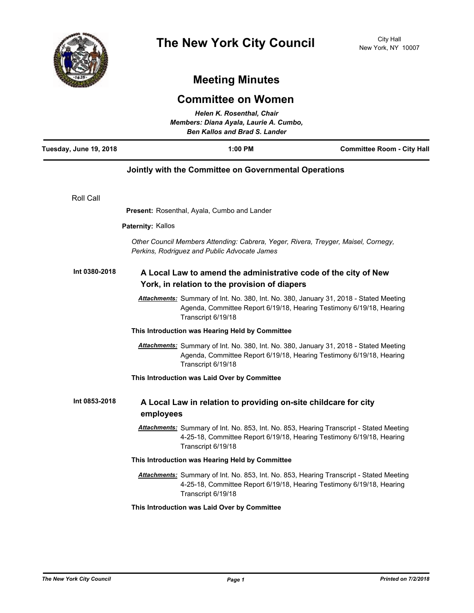

## **Meeting Minutes**

## **Committee on Women** *Helen K. Rosenthal, Chair*

| Members: Diana Ayala, Laurie A. Cumbo,<br><b>Ben Kallos and Brad S. Lander</b> |                          |                                                                                                                                                                                               |                                   |
|--------------------------------------------------------------------------------|--------------------------|-----------------------------------------------------------------------------------------------------------------------------------------------------------------------------------------------|-----------------------------------|
| Tuesday, June 19, 2018                                                         |                          | $1:00$ PM                                                                                                                                                                                     | <b>Committee Room - City Hall</b> |
|                                                                                |                          | Jointly with the Committee on Governmental Operations                                                                                                                                         |                                   |
| Roll Call                                                                      |                          |                                                                                                                                                                                               |                                   |
|                                                                                |                          | <b>Present:</b> Rosenthal, Ayala, Cumbo and Lander                                                                                                                                            |                                   |
|                                                                                | <b>Paternity: Kallos</b> |                                                                                                                                                                                               |                                   |
|                                                                                |                          | Other Council Members Attending: Cabrera, Yeger, Rivera, Treyger, Maisel, Cornegy,<br>Perkins, Rodriguez and Public Advocate James                                                            |                                   |
| Int 0380-2018                                                                  |                          | A Local Law to amend the administrative code of the city of New<br>York, in relation to the provision of diapers                                                                              |                                   |
|                                                                                |                          | Attachments: Summary of Int. No. 380, Int. No. 380, January 31, 2018 - Stated Meeting<br>Agenda, Committee Report 6/19/18, Hearing Testimony 6/19/18, Hearing<br>Transcript 6/19/18           |                                   |
|                                                                                |                          | This Introduction was Hearing Held by Committee                                                                                                                                               |                                   |
|                                                                                |                          | <b>Attachments:</b> Summary of Int. No. 380, Int. No. 380, January 31, 2018 - Stated Meeting<br>Agenda, Committee Report 6/19/18, Hearing Testimony 6/19/18, Hearing<br>Transcript 6/19/18    |                                   |
|                                                                                |                          | This Introduction was Laid Over by Committee                                                                                                                                                  |                                   |
| Int 0853-2018                                                                  | employees                | A Local Law in relation to providing on-site childcare for city                                                                                                                               |                                   |
|                                                                                |                          | Attachments: Summary of Int. No. 853, Int. No. 853, Hearing Transcript - Stated Meeting<br>4-25-18, Committee Report 6/19/18, Hearing Testimony 6/19/18, Hearing<br>Transcript 6/19/18        |                                   |
|                                                                                |                          | This Introduction was Hearing Held by Committee                                                                                                                                               |                                   |
|                                                                                |                          | <b>Attachments:</b> Summary of Int. No. 853, Int. No. 853, Hearing Transcript - Stated Meeting<br>4-25-18, Committee Report 6/19/18, Hearing Testimony 6/19/18, Hearing<br>Transcript 6/19/18 |                                   |
|                                                                                |                          | This Introduction was Laid Over by Committee                                                                                                                                                  |                                   |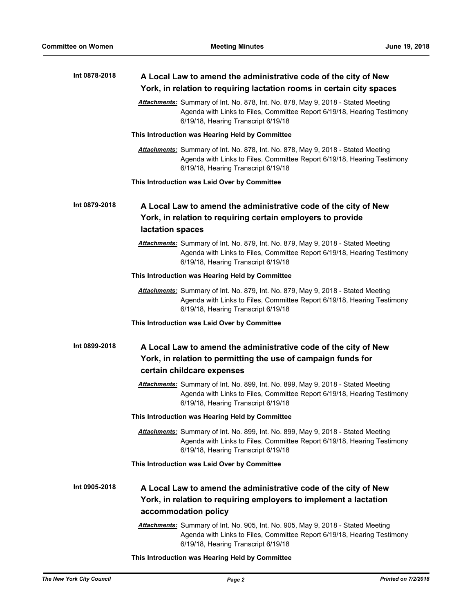| Int 0878-2018 | A Local Law to amend the administrative code of the city of New<br>York, in relation to requiring lactation rooms in certain city spaces                                                           |  |  |
|---------------|----------------------------------------------------------------------------------------------------------------------------------------------------------------------------------------------------|--|--|
|               | Attachments: Summary of Int. No. 878, Int. No. 878, May 9, 2018 - Stated Meeting<br>Agenda with Links to Files, Committee Report 6/19/18, Hearing Testimony<br>6/19/18, Hearing Transcript 6/19/18 |  |  |
|               | This Introduction was Hearing Held by Committee                                                                                                                                                    |  |  |
|               | Attachments: Summary of Int. No. 878, Int. No. 878, May 9, 2018 - Stated Meeting<br>Agenda with Links to Files, Committee Report 6/19/18, Hearing Testimony<br>6/19/18, Hearing Transcript 6/19/18 |  |  |
|               | This Introduction was Laid Over by Committee                                                                                                                                                       |  |  |
| Int 0879-2018 | A Local Law to amend the administrative code of the city of New<br>York, in relation to requiring certain employers to provide<br>lactation spaces                                                 |  |  |
|               | Attachments: Summary of Int. No. 879, Int. No. 879, May 9, 2018 - Stated Meeting<br>Agenda with Links to Files, Committee Report 6/19/18, Hearing Testimony<br>6/19/18, Hearing Transcript 6/19/18 |  |  |
|               | This Introduction was Hearing Held by Committee                                                                                                                                                    |  |  |
|               | Attachments: Summary of Int. No. 879, Int. No. 879, May 9, 2018 - Stated Meeting<br>Agenda with Links to Files, Committee Report 6/19/18, Hearing Testimony<br>6/19/18, Hearing Transcript 6/19/18 |  |  |
|               | This Introduction was Laid Over by Committee                                                                                                                                                       |  |  |
| Int 0899-2018 | A Local Law to amend the administrative code of the city of New<br>York, in relation to permitting the use of campaign funds for<br>certain childcare expenses                                     |  |  |
|               | Attachments: Summary of Int. No. 899, Int. No. 899, May 9, 2018 - Stated Meeting<br>Agenda with Links to Files, Committee Report 6/19/18, Hearing Testimony<br>6/19/18, Hearing Transcript 6/19/18 |  |  |
|               | This Introduction was Hearing Held by Committee                                                                                                                                                    |  |  |
|               | Attachments: Summary of Int. No. 899, Int. No. 899, May 9, 2018 - Stated Meeting<br>Agenda with Links to Files, Committee Report 6/19/18, Hearing Testimony<br>6/19/18, Hearing Transcript 6/19/18 |  |  |
|               | This Introduction was Laid Over by Committee                                                                                                                                                       |  |  |
| Int 0905-2018 | A Local Law to amend the administrative code of the city of New<br>York, in relation to requiring employers to implement a lactation<br>accommodation policy                                       |  |  |
|               | Attachments: Summary of Int. No. 905, Int. No. 905, May 9, 2018 - Stated Meeting<br>Agenda with Links to Files, Committee Report 6/19/18, Hearing Testimony<br>6/19/18, Hearing Transcript 6/19/18 |  |  |
|               |                                                                                                                                                                                                    |  |  |

**This Introduction was Hearing Held by Committee**